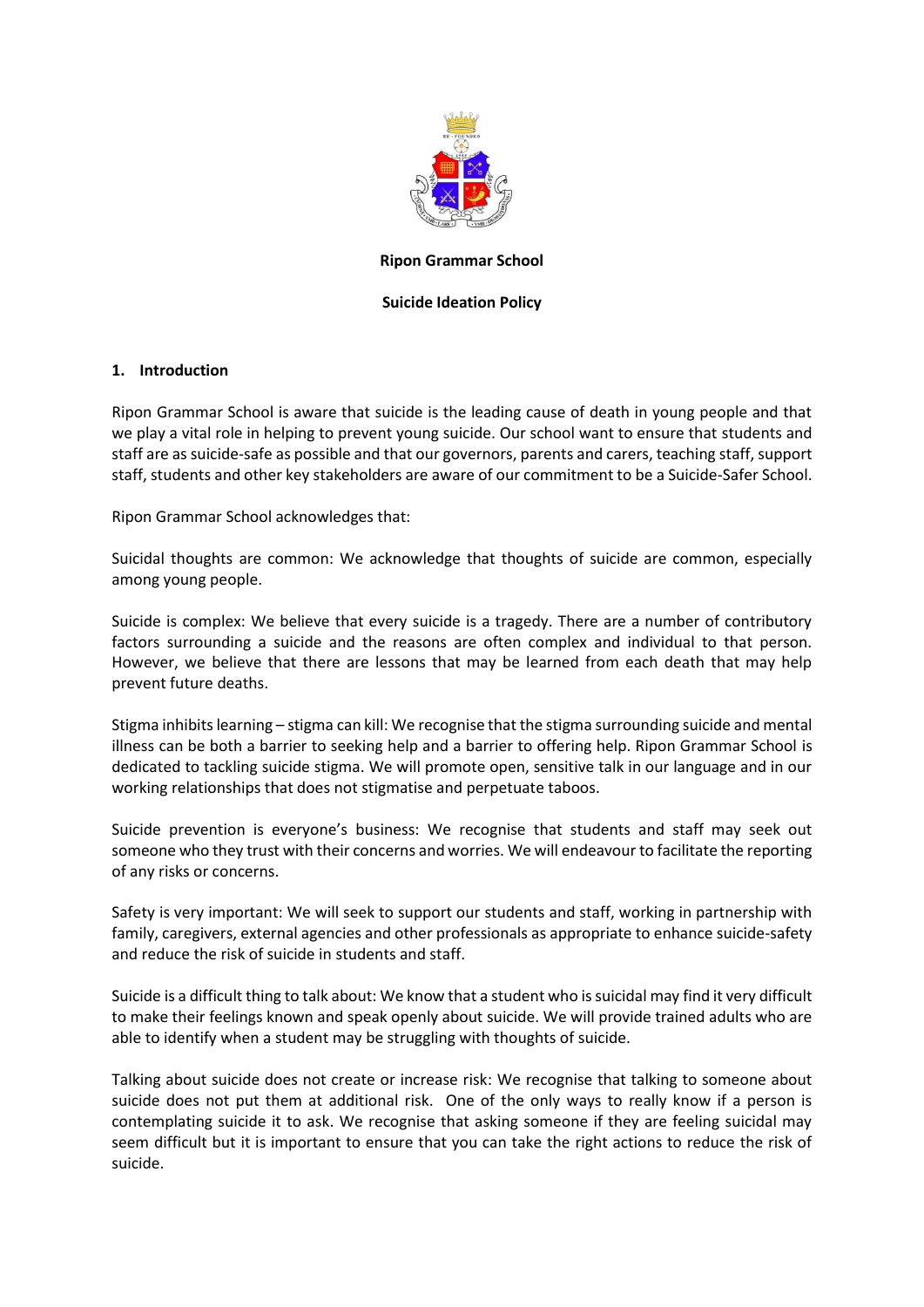

#### **Ripon Grammar School**

#### **Suicide Ideation Policy**

#### **1. Introduction**

Ripon Grammar School is aware that suicide is the leading cause of death in young people and that we play a vital role in helping to prevent young suicide. Our school want to ensure that students and staff are as suicide-safe as possible and that our governors, parents and carers, teaching staff, support staff, students and other key stakeholders are aware of our commitment to be a Suicide-Safer School.

Ripon Grammar School acknowledges that:

Suicidal thoughts are common: We acknowledge that thoughts of suicide are common, especially among young people.

Suicide is complex: We believe that every suicide is a tragedy. There are a number of contributory factors surrounding a suicide and the reasons are often complex and individual to that person. However, we believe that there are lessons that may be learned from each death that may help prevent future deaths.

Stigma inhibitslearning – stigma can kill: We recognise that the stigma surrounding suicide and mental illness can be both a barrier to seeking help and a barrier to offering help. Ripon Grammar School is dedicated to tackling suicide stigma. We will promote open, sensitive talk in our language and in our working relationships that does not stigmatise and perpetuate taboos.

Suicide prevention is everyone's business: We recognise that students and staff may seek out someone who they trust with their concerns and worries. We will endeavour to facilitate the reporting of any risks or concerns.

Safety is very important: We will seek to support our students and staff, working in partnership with family, caregivers, external agencies and other professionals as appropriate to enhance suicide-safety and reduce the risk of suicide in students and staff.

Suicide is a difficult thing to talk about: We know that a student who is suicidal may find it very difficult to make their feelings known and speak openly about suicide. We will provide trained adults who are able to identify when a student may be struggling with thoughts of suicide.

Talking about suicide does not create or increase risk: We recognise that talking to someone about suicide does not put them at additional risk. One of the only ways to really know if a person is contemplating suicide it to ask. We recognise that asking someone if they are feeling suicidal may seem difficult but it is important to ensure that you can take the right actions to reduce the risk of suicide.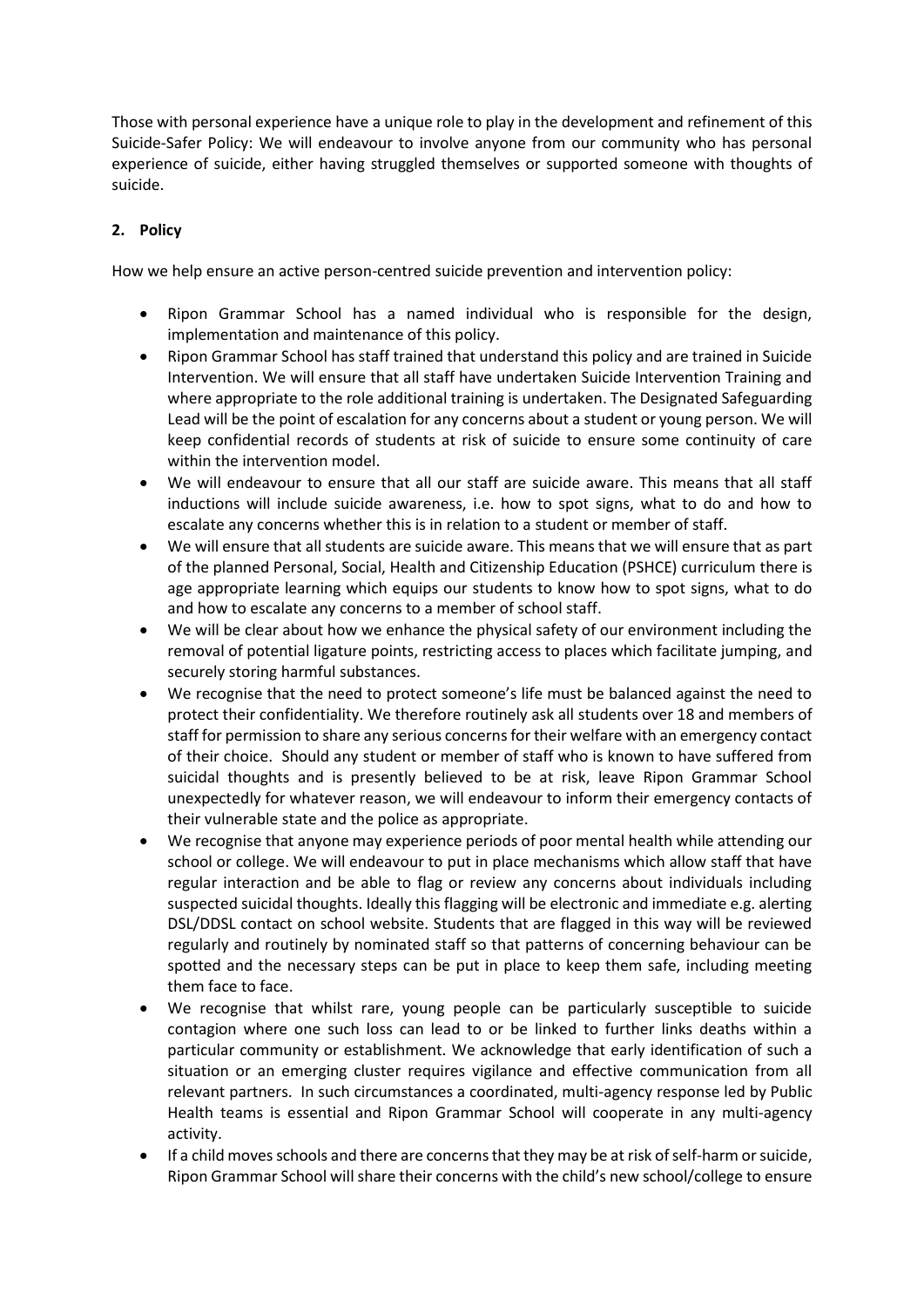Those with personal experience have a unique role to play in the development and refinement of this Suicide-Safer Policy: We will endeavour to involve anyone from our community who has personal experience of suicide, either having struggled themselves or supported someone with thoughts of suicide.

# **2. Policy**

How we help ensure an active person-centred suicide prevention and intervention policy:

- Ripon Grammar School has a named individual who is responsible for the design, implementation and maintenance of this policy.
- Ripon Grammar School has staff trained that understand this policy and are trained in Suicide Intervention. We will ensure that all staff have undertaken Suicide Intervention Training and where appropriate to the role additional training is undertaken. The Designated Safeguarding Lead will be the point of escalation for any concerns about a student or young person. We will keep confidential records of students at risk of suicide to ensure some continuity of care within the intervention model.
- We will endeavour to ensure that all our staff are suicide aware. This means that all staff inductions will include suicide awareness, i.e. how to spot signs, what to do and how to escalate any concerns whether this is in relation to a student or member of staff.
- We will ensure that all students are suicide aware. This means that we will ensure that as part of the planned Personal, Social, Health and Citizenship Education (PSHCE) curriculum there is age appropriate learning which equips our students to know how to spot signs, what to do and how to escalate any concerns to a member of school staff.
- We will be clear about how we enhance the physical safety of our environment including the removal of potential ligature points, restricting access to places which facilitate jumping, and securely storing harmful substances.
- We recognise that the need to protect someone's life must be balanced against the need to protect their confidentiality. We therefore routinely ask all students over 18 and members of staff for permission to share any serious concerns for their welfare with an emergency contact of their choice. Should any student or member of staff who is known to have suffered from suicidal thoughts and is presently believed to be at risk, leave Ripon Grammar School unexpectedly for whatever reason, we will endeavour to inform their emergency contacts of their vulnerable state and the police as appropriate.
- We recognise that anyone may experience periods of poor mental health while attending our school or college. We will endeavour to put in place mechanisms which allow staff that have regular interaction and be able to flag or review any concerns about individuals including suspected suicidal thoughts. Ideally this flagging will be electronic and immediate e.g. alerting DSL/DDSL contact on school website. Students that are flagged in this way will be reviewed regularly and routinely by nominated staff so that patterns of concerning behaviour can be spotted and the necessary steps can be put in place to keep them safe, including meeting them face to face.
- We recognise that whilst rare, young people can be particularly susceptible to suicide contagion where one such loss can lead to or be linked to further links deaths within a particular community or establishment. We acknowledge that early identification of such a situation or an emerging cluster requires vigilance and effective communication from all relevant partners. In such circumstances a coordinated, multi-agency response led by Public Health teams is essential and Ripon Grammar School will cooperate in any multi-agency activity.
- If a child moves schools and there are concerns that they may be at risk of self-harm or suicide, Ripon Grammar School will share their concerns with the child's new school/college to ensure